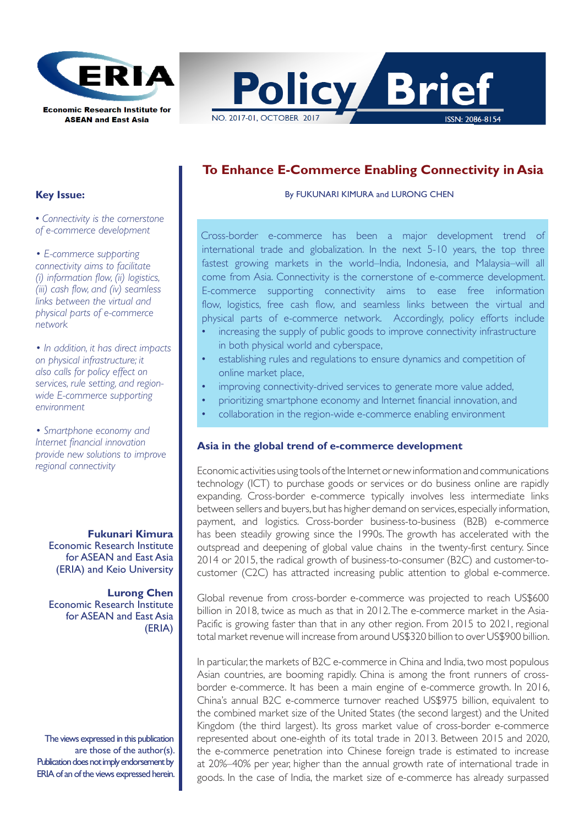



# **To Enhance E-Commerce Enabling Connectivity in Asia**

By FUKUNARI KIMURA and LURONG CHEN

Cross-border e-commerce has been a major development trend of international trade and globalization. In the next 5-10 years, the top three fastest growing markets in the world–India, Indonesia, and Malaysia–will all come from Asia. Connectivity is the cornerstone of e-commerce development. E-commerce supporting connectivity aims to ease free information flow, logistics, free cash flow, and seamless links between the virtual and physical parts of e-commerce network. Accordingly, policy efforts include

- increasing the supply of public goods to improve connectivity infrastructure in both physical world and cyberspace,
- establishing rules and regulations to ensure dynamics and competition of online market place,
- improving connectivity-drived services to generate more value added,
- prioritizing smartphone economy and Internet financial innovation, and
- collaboration in the region-wide e-commerce enabling environment

#### **Asia in the global trend of e-commerce development**

Economic activities using tools of the Internet or new information and communications technology (ICT) to purchase goods or services or do business online are rapidly expanding. Cross-border e-commerce typically involves less intermediate links between sellers and buyers, but has higher demand on services, especially information, payment, and logistics. Cross-border business-to-business (B2B) e-commerce has been steadily growing since the 1990s. The growth has accelerated with the outspread and deepening of global value chains in the twenty-first century. Since 2014 or 2015, the radical growth of business-to-consumer (B2C) and customer-tocustomer (C2C) has attracted increasing public attention to global e-commerce.

Global revenue from cross-border e-commerce was projected to reach US\$600 billion in 2018, twice as much as that in 2012. The e-commerce market in the Asia-Pacific is growing faster than that in any other region. From 2015 to 2021, regional total market revenue will increase from around US\$320 billion to over US\$900 billion.

In particular, the markets of B2C e-commerce in China and India, two most populous Asian countries, are booming rapidly. China is among the front runners of crossborder e-commerce. It has been a main engine of e-commerce growth. In 2016, China's annual B2C e-commerce turnover reached US\$975 billion, equivalent to the combined market size of the United States (the second largest) and the United Kingdom (the third largest). Its gross market value of cross-border e-commerce represented about one-eighth of its total trade in 2013. Between 2015 and 2020, the e-commerce penetration into Chinese foreign trade is estimated to increase at 20%–40% per year, higher than the annual growth rate of international trade in goods. In the case of India, the market size of e-commerce has already surpassed

### **Key Issue:**

• *Connectivity is the cornerstone of e-commerce development*

*• E-commerce supporting connectivity aims to facilitate (i) information flow, (ii) logistics, (iii) cash flow, and (iv) seamless links between the virtual and physical parts of e-commerce network*

*• In addition, it has direct impacts on physical infrastructure; it also calls for policy effect on services, rule setting, and regionwide E-commerce supporting environment*

*• Smartphone economy and Internet financial innovation provide new solutions to improve regional connectivity*

 **Fukunari Kimura**  Economic Research Institute for ASEAN and East Asia (ERIA) and Keio University

**Lurong Chen** Economic Research Institute for ASEAN and East Asia (ERIA)

The views expressed in this publication are those of the author(s). Publication does not imply endorsement by ERIA of an of the views expressed herein.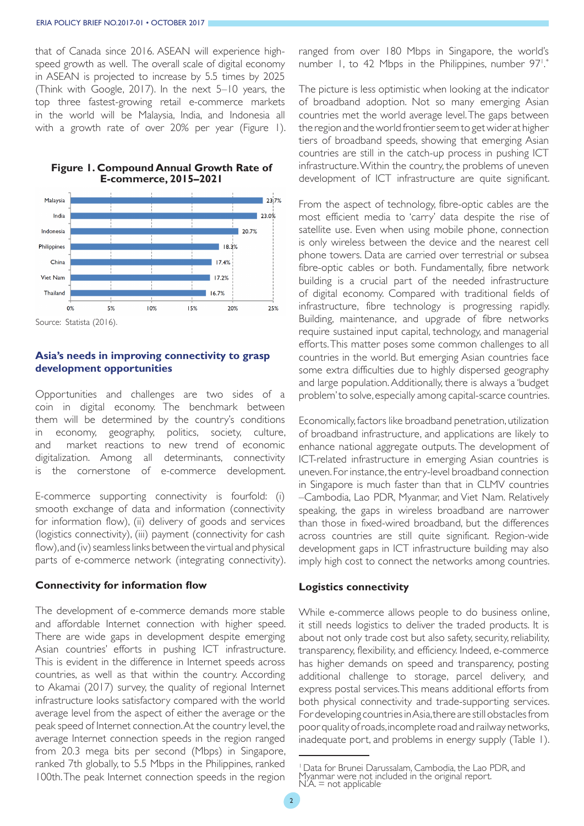that of Canada since 2016. ASEAN will experience highspeed growth as well. The overall scale of digital economy in ASEAN is projected to increase by 5.5 times by 2025 (Think with Google, 2017). In the next 5–10 years, the top three fastest-growing retail e-commerce markets in the world will be Malaysia, India, and Indonesia all with a growth rate of over 20% per year (Figure 1).



#### **Figure 1. Compound Annual Growth Rate of E-commerce, 2015–2021**

#### **Asia's needs in improving connectivity to grasp development opportunities**

Opportunities and challenges are two sides of a coin in digital economy. The benchmark between them will be determined by the country's conditions in economy, geography, politics, society, culture, and market reactions to new trend of economic digitalization. Among all determinants, connectivity is the cornerstone of e-commerce development.

E-commerce supporting connectivity is fourfold: (i) smooth exchange of data and information (connectivity for information flow), (ii) delivery of goods and services (logistics connectivity), (iii) payment (connectivity for cash flow), and (iv) seamless links between the virtual and physical parts of e-commerce network (integrating connectivity).

#### **Connectivity for information flow**

The development of e-commerce demands more stable and affordable Internet connection with higher speed. There are wide gaps in development despite emerging Asian countries' efforts in pushing ICT infrastructure. This is evident in the difference in Internet speeds across countries, as well as that within the country. According to Akamai (2017) survey, the quality of regional Internet infrastructure looks satisfactory compared with the world average level from the aspect of either the average or the peak speed of Internet connection. At the country level, the average Internet connection speeds in the region ranged from 20.3 mega bits per second (Mbps) in Singapore, ranked 7th globally, to 5.5 Mbps in the Philippines, ranked 100th. The peak Internet connection speeds in the region

ranged from over 180 Mbps in Singapore, the world's number 1, to 42 Mbps in the Philippines, number 97!.\* .

The picture is less optimistic when looking at the indicator of broadband adoption. Not so many emerging Asian countries met the world average level. The gaps between the region and the world frontier seem to get wider at higher tiers of broadband speeds, showing that emerging Asian countries are still in the catch-up process in pushing ICT infrastructure. Within the country, the problems of uneven development of ICT infrastructure are quite significant.

From the aspect of technology, fibre-optic cables are the most efficient media to 'carry' data despite the rise of satellite use. Even when using mobile phone, connection is only wireless between the device and the nearest cell phone towers. Data are carried over terrestrial or subsea fibre-optic cables or both. Fundamentally, fibre network building is a crucial part of the needed infrastructure of digital economy. Compared with traditional fields of infrastructure, fibre technology is progressing rapidly. Building, maintenance, and upgrade of fibre networks require sustained input capital, technology, and managerial efforts. This matter poses some common challenges to all countries in the world. But emerging Asian countries face some extra difficulties due to highly dispersed geography and large population. Additionally, there is always a 'budget problem' to solve, especially among capital-scarce countries.

Economically, factors like broadband penetration, utilization of broadband infrastructure, and applications are likely to enhance national aggregate outputs. The development of ICT-related infrastructure in emerging Asian countries is uneven. For instance, the entry-level broadband connection in Singapore is much faster than that in CLMV countries –Cambodia, Lao PDR, Myanmar, and Viet Nam. Relatively speaking, the gaps in wireless broadband are narrower than those in fixed-wired broadband, but the differences across countries are still quite significant. Region-wide development gaps in ICT infrastructure building may also imply high cost to connect the networks among countries.

## **Logistics connectivity**

While e-commerce allows people to do business online, it still needs logistics to deliver the traded products. It is about not only trade cost but also safety, security, reliability, transparency, flexibility, and efficiency. Indeed, e-commerce has higher demands on speed and transparency, posting additional challenge to storage, parcel delivery, and express postal services. This means additional efforts from both physical connectivity and trade-supporting services. For developing countries in Asia, there are still obstacles from poor quality of roads, incomplete road and railway networks, inadequate port, and problems in energy supply (Table 1).

<sup>1</sup> Data for Brunei Darussalam, Cambodia, the Lao PDR, and Myanmar were not included in the original report. N.A. = not applicable.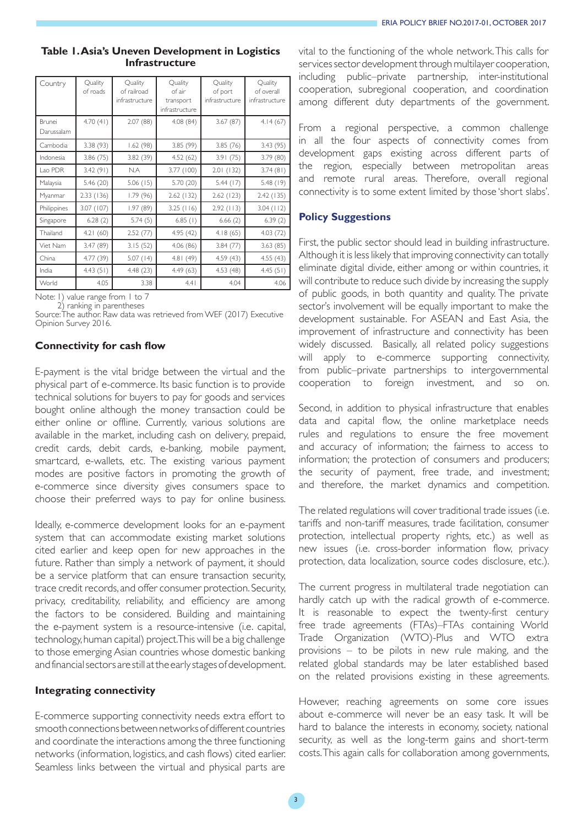### **Table 1. Asia's Uneven Development in Logistics Infrastructure**

| Country              | Quality<br>of roads | Quality<br>of railroad<br>infrastructure | Quality<br>of air<br>transport<br>infrastructure | Quality<br>of port<br>infrastructure | Quality<br>of overall<br>infrastructure |
|----------------------|---------------------|------------------------------------------|--------------------------------------------------|--------------------------------------|-----------------------------------------|
| Brunei<br>Darussalam | 4.70(41)            | 2.07(88)                                 | 4.08(84)                                         | 3.67(87)                             | 4.14(67)                                |
| Cambodia             | 3.38(93)            | 1.62(98)                                 | 3.85 (99)                                        | 3.85(76)                             | 3.43(95)                                |
| Indonesia            | 3.86(75)            | 3.82(39)                                 | 4.52(62)                                         | 3.91(75)                             | 3.79 (80)                               |
| Lao PDR              | 3.42(91)            | N.A                                      | 3.77 (100)                                       | 2.01(132)                            | 3.74(81)                                |
| Malaysia             | 5.46 (20)           | 5.06(15)                                 | 5.70 (20)                                        | 5.44(17)                             | 5.48(19)                                |
| Myanmar              | 2.33 (136)          | 1.79(96)                                 | 2.62 (132)                                       | 2.62 (123)                           | 2.42 (135)                              |
| Philippines          | 3.07 (107)          | 1.97(89)                                 | 3.25(116)                                        | 2.92(113)                            | $3.04$ (112)                            |
| Singapore            | 6.28(2)             | 5.74(5)                                  | $6.85$ (1)                                       | 6.66(2)                              | 6.39(2)                                 |
| Thailand             | 4.21(60)            | 2.52(77)                                 | 4.95(42)                                         | 4.18(65)                             | 4.03(72)                                |
| Viet Nam             | 3.47 (89)           | 3.15(52)                                 | 4.06(86)                                         | 3.84(77)                             | 3.63(85)                                |
| China                | 4.77 (39)           | 5.07(14)                                 | 4.81(49)                                         | 4.59 (43)                            | 4.55(43)                                |
| <b>India</b>         | 4.43(51)            | 4.48(23)                                 | 4.49(63)                                         | 4.53 (48)                            | 4.45(51)                                |
| World                | 4.05                | 3.38                                     | 4.41                                             | 4.04                                 | 4.06                                    |

Note: I) value range from I to 7

2) ranking in parentheses

Source: The author. Raw data was retrieved from WEF (2017) Executive Opinion Survey 2016.

## **Connectivity for cash flow**

E-payment is the vital bridge between the virtual and the physical part of e-commerce. Its basic function is to provide technical solutions for buyers to pay for goods and services bought online although the money transaction could be either online or offline. Currently, various solutions are available in the market, including cash on delivery, prepaid, credit cards, debit cards, e-banking, mobile payment, smartcard, e-wallets, etc. The existing various payment modes are positive factors in promoting the growth of e-commerce since diversity gives consumers space to choose their preferred ways to pay for online business.

Ideally, e-commerce development looks for an e-payment system that can accommodate existing market solutions cited earlier and keep open for new approaches in the future. Rather than simply a network of payment, it should be a service platform that can ensure transaction security, trace credit records, and offer consumer protection. Security, privacy, creditability, reliability, and efficiency are among the factors to be considered. Building and maintaining the e-payment system is a resource-intensive (i.e. capital, technology, human capital) project. This will be a big challenge to those emerging Asian countries whose domestic banking and financial sectors are still at the early stages of development.

## **Integrating connectivity**

E-commerce supporting connectivity needs extra effort to smooth connections between networks of different countries and coordinate the interactions among the three functioning networks (information, logistics, and cash flows) cited earlier. Seamless links between the virtual and physical parts are

vital to the functioning of the whole network. This calls for services sector development through multilayer cooperation, including public–private partnership, inter-institutional cooperation, subregional cooperation, and coordination among different duty departments of the government.

From a regional perspective, a common challenge in all the four aspects of connectivity comes from development gaps existing across different parts of the region, especially between metropolitan areas and remote rural areas. Therefore, overall regional connectivity is to some extent limited by those 'short slabs'.

## **Policy Suggestions**

First, the public sector should lead in building infrastructure. Although it is less likely that improving connectivity can totally eliminate digital divide, either among or within countries, it will contribute to reduce such divide by increasing the supply of public goods, in both quantity and quality. The private sector's involvement will be equally important to make the development sustainable. For ASEAN and East Asia, the improvement of infrastructure and connectivity has been widely discussed. Basically, all related policy suggestions will apply to e-commerce supporting connectivity, from public–private partnerships to intergovernmental cooperation to foreign investment, and so on.

Second, in addition to physical infrastructure that enables data and capital flow, the online marketplace needs rules and regulations to ensure the free movement and accuracy of information; the fairness to access to information; the protection of consumers and producers; the security of payment, free trade, and investment; and therefore, the market dynamics and competition.

The related regulations will cover traditional trade issues (i.e. tariffs and non-tariff measures, trade facilitation, consumer protection, intellectual property rights, etc.) as well as new issues (i.e. cross-border information flow, privacy protection, data localization, source codes disclosure, etc.).

The current progress in multilateral trade negotiation can hardly catch up with the radical growth of e-commerce. It is reasonable to expect the twenty-first century free trade agreements (FTAs)–FTAs containing World Trade Organization (WTO)-Plus and WTO extra provisions – to be pilots in new rule making, and the related global standards may be later established based on the related provisions existing in these agreements.

However, reaching agreements on some core issues about e-commerce will never be an easy task. It will be hard to balance the interests in economy, society, national security, as well as the long-term gains and short-term costs. This again calls for collaboration among governments,